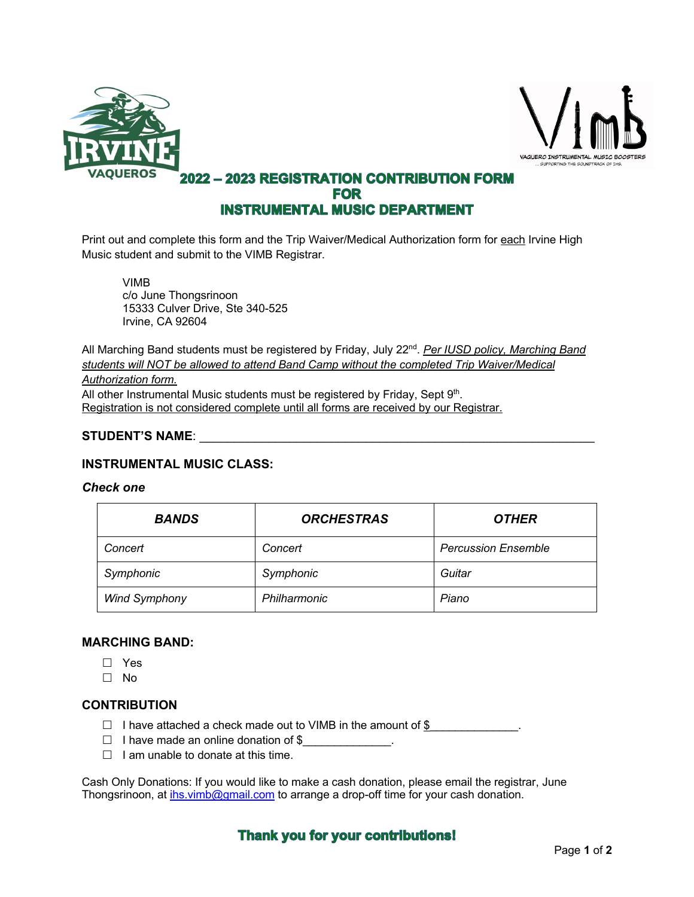



## **2022 - 2023 REGISTRATION CONTRIBUTION FORM FOR INSTRUMENTAL MUSIC DEPARTMENT**

Print out and complete this form and the Trip Waiver/Medical Authorization form for each Irvine High Music student and submit to the VIMB Registrar.

VIMB c/o June Thongsrinoon 15333 Culver Drive, Ste 340-525 Irvine, CA 92604

All Marching Band students must be registered by Friday, July 22<sup>nd</sup>. *Per IUSD policy, Marching Band students will NOT be allowed to attend Band Camp without the completed Trip Waiver/Medical* 

#### *Authorization form.*

All other Instrumental Music students must be registered by Friday, Sept 9th. Registration is not considered complete until all forms are received by our Registrar.

### **STUDENT'S NAME**: \_\_\_\_\_\_\_\_\_\_\_\_\_\_\_\_\_\_\_\_\_\_\_\_\_\_\_\_\_\_\_\_\_\_\_\_\_\_\_\_\_\_\_\_\_\_\_\_\_\_\_\_\_\_\_\_\_

### **INSTRUMENTAL MUSIC CLASS:**

#### *Check one*

| <b>BANDS</b>         | <b>ORCHESTRAS</b> | <b>OTHER</b>               |
|----------------------|-------------------|----------------------------|
| Concert              | Concert           | <b>Percussion Ensemble</b> |
| Symphonic            | Symphonic         | Guitar                     |
| <b>Wind Symphony</b> | Philharmonic      | Piano                      |

### **MARCHING BAND:**

- $\Box$  Yes
- $\square$  No

#### **CONTRIBUTION**

- $\Box$  I have attached a check made out to VIMB in the amount of \$
- $\Box$  I have made an online donation of \$
- $\Box$  I am unable to donate at this time.

Cash Only Donations: If you would like to make a cash donation, please email the registrar, June Thongsrinoon, at ihs.vimb@gmail.com to arrange a drop-off time for your cash donation.

## **Thank you for your contributions!**